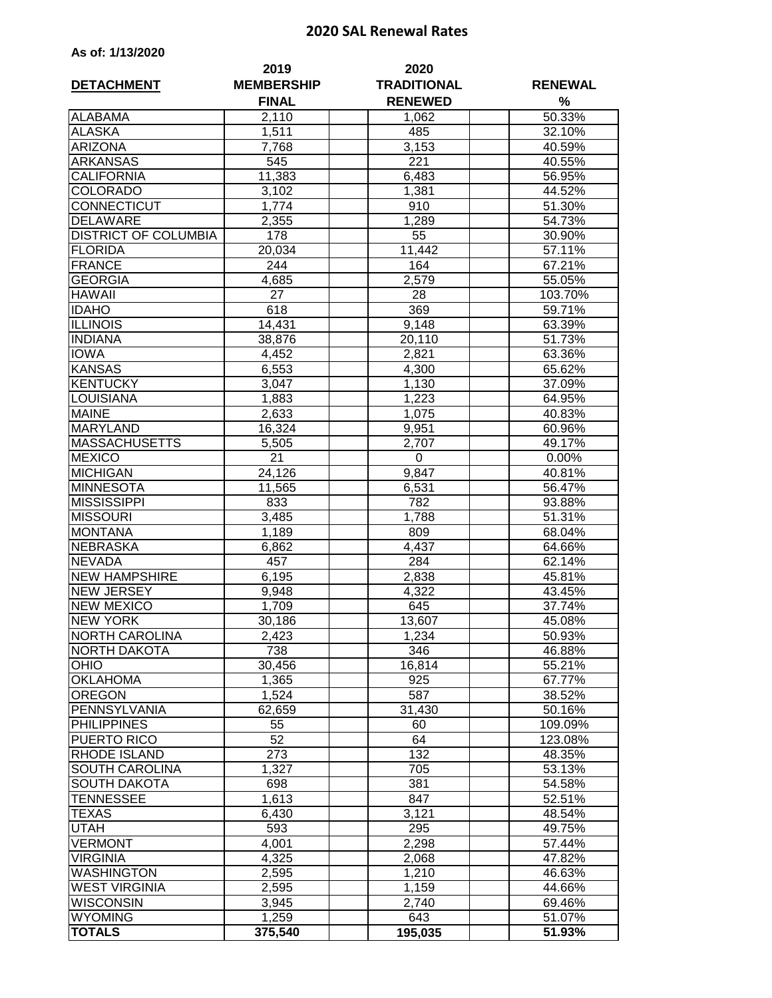## **2020 SAL Renewal Rates**

|  | As of: 1/13/2020 |  |
|--|------------------|--|
|  |                  |  |

| <b>DETACHMENT</b>           | 2019<br><b>MEMBERSHIP</b><br><b>FINAL</b> | 2020<br><b>TRADITIONAL</b><br><b>RENEWED</b> | <b>RENEWAL</b><br>% |  |
|-----------------------------|-------------------------------------------|----------------------------------------------|---------------------|--|
| <b>ALABAMA</b>              | 2,110                                     | 1,062                                        | 50.33%              |  |
| <b>ALASKA</b>               | 1,511                                     | 485                                          | 32.10%              |  |
| <b>ARIZONA</b>              | 7,768                                     | 3,153                                        | 40.59%              |  |
| <b>ARKANSAS</b>             | 545                                       | 221                                          | 40.55%              |  |
| <b>CALIFORNIA</b>           | 11,383                                    | 6,483                                        | 56.95%              |  |
| <b>COLORADO</b>             | 3,102                                     | 1,381                                        | 44.52%              |  |
| <b>CONNECTICUT</b>          | 1,774                                     | 910                                          | 51.30%              |  |
| <b>DELAWARE</b>             | 2,355                                     | 1,289                                        | 54.73%              |  |
| <b>DISTRICT OF COLUMBIA</b> | 178                                       | 55                                           | 30.90%              |  |
| <b>FLORIDA</b>              | 20,034                                    | 11,442                                       | 57.11%              |  |
| FRANCE                      | 244                                       | 164                                          | 67.21%              |  |
| <b>GEORGIA</b>              | 4,685                                     | 2,579                                        | 55.05%              |  |
| <b>HAWAII</b>               | 27                                        | 28                                           | 103.70%             |  |
| <b>IDAHO</b>                | 618                                       | 369                                          | 59.71%              |  |
| <b>ILLINOIS</b>             |                                           |                                              | 63.39%              |  |
| <b>INDIANA</b>              | 14,431                                    | 9,148                                        | 51.73%              |  |
|                             | 38,876                                    | 20,110                                       |                     |  |
| <b>IOWA</b>                 | 4,452                                     | 2,821                                        | 63.36%              |  |
| <b>KANSAS</b>               | 6,553                                     | 4,300                                        | 65.62%              |  |
| KENTUCKY                    | 3,047                                     | 1,130                                        | 37.09%              |  |
| <b>LOUISIANA</b>            | 1,883                                     | $\overline{1,223}$                           | 64.95%              |  |
| <b>MAINE</b>                | 2,633                                     | 1,075                                        | 40.83%              |  |
| <b>MARYLAND</b>             | 16,324                                    | 9,951                                        | 60.96%              |  |
| <b>MASSACHUSETTS</b>        | 5,505                                     | 2,707                                        | 49.17%              |  |
| <b>MEXICO</b>               | 21                                        | 0                                            | 0.00%               |  |
| <b>MICHIGAN</b>             | 24,126                                    | 9,847                                        | 40.81%              |  |
| <b>MINNESOTA</b>            | 11,565                                    | 6,531                                        | 56.47%              |  |
| <b>MISSISSIPPI</b>          | 833                                       | 782                                          | 93.88%              |  |
| <b>MISSOURI</b>             | 3,485                                     | 1,788                                        | 51.31%              |  |
| <b>MONTANA</b>              | 1,189                                     | 809                                          | 68.04%              |  |
| <b>NEBRASKA</b>             | 6,862                                     | 4,437                                        | 64.66%              |  |
| <b>NEVADA</b>               | 457                                       | 284                                          | 62.14%              |  |
| <b>NEW HAMPSHIRE</b>        | 6,195                                     | 2,838                                        | 45.81%              |  |
| <b>NEW JERSEY</b>           | 9,948                                     | 4,322                                        | 43.45%              |  |
| <b>NEW MEXICO</b>           | 1,709                                     | 645                                          | $37.74\%$           |  |
| <b>NEW YORK</b>             | 30,186                                    | 13,607                                       | 45.08%              |  |
| <b>NORTH CAROLINA</b>       | 2,423                                     | 1,234                                        | 50.93%              |  |
| <b>NORTH DAKOTA</b>         | 738                                       | 346                                          | 46.88%              |  |
| <b>OHIO</b>                 | 30,456                                    | 16,814                                       | 55.21%              |  |
| <b>OKLAHOMA</b>             | 1,365                                     | 925                                          | 67.77%              |  |
| <b>OREGON</b>               | 1,524                                     | 587                                          | 38.52%              |  |
| PENNSYLVANIA                | 62,659                                    | 31,430                                       | 50.16%              |  |
| <b>PHILIPPINES</b>          | 55                                        | 60                                           | 109.09%             |  |
| PUERTO RICO                 | 52                                        | 64                                           | 123.08%             |  |
| <b>RHODE ISLAND</b>         | 273                                       | 132                                          | 48.35%              |  |
| SOUTH CAROLINA              | 1,327                                     | 705                                          | 53.13%              |  |
| <b>SOUTH DAKOTA</b>         | 698                                       | 381                                          | 54.58%              |  |
| <b>TENNESSEE</b>            | 1,613                                     | 847                                          | 52.51%              |  |
| <b>TEXAS</b>                | 6,430                                     | 3,121                                        | 48.54%              |  |
| <b>UTAH</b>                 | 593                                       | 295                                          | 49.75%              |  |
| <b>VERMONT</b>              | 4,001                                     | 2,298                                        | 57.44%              |  |
| <b>VIRGINIA</b>             | 4,325                                     | 2,068                                        | 47.82%              |  |
| <b>WASHINGTON</b>           | 2,595                                     | 1,210                                        | 46.63%              |  |
| <b>WEST VIRGINIA</b>        | 2,595                                     | 1,159                                        | 44.66%              |  |
| <b>WISCONSIN</b>            | 3,945                                     | 2,740                                        | 69.46%              |  |
| <b>WYOMING</b>              | 1,259                                     | 643                                          | 51.07%              |  |
| <b>TOTALS</b>               | 375,540                                   | 195,035                                      | 51.93%              |  |